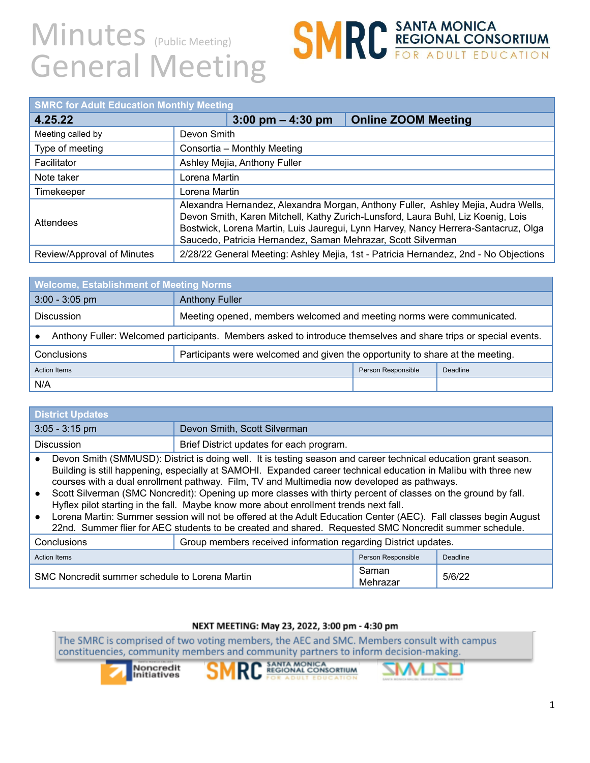# **SMRC** SANTA MONICA<br>
FOR ADULT EDUCATION

| <b>SMRC for Adult Education Monthly Meeting</b> |                              |                                                              |                                                                                                                                                                                                                                                             |
|-------------------------------------------------|------------------------------|--------------------------------------------------------------|-------------------------------------------------------------------------------------------------------------------------------------------------------------------------------------------------------------------------------------------------------------|
| 4.25.22                                         |                              | $3:00 \text{ pm} - 4:30 \text{ pm}$                          | <b>Online ZOOM Meeting</b>                                                                                                                                                                                                                                  |
| Meeting called by                               | Devon Smith                  |                                                              |                                                                                                                                                                                                                                                             |
| Type of meeting                                 |                              | Consortia - Monthly Meeting                                  |                                                                                                                                                                                                                                                             |
| Facilitator                                     | Ashley Mejia, Anthony Fuller |                                                              |                                                                                                                                                                                                                                                             |
| Note taker                                      | Lorena Martin                |                                                              |                                                                                                                                                                                                                                                             |
| Timekeeper                                      | Lorena Martin                |                                                              |                                                                                                                                                                                                                                                             |
| Attendees                                       |                              | Saucedo, Patricia Hernandez, Saman Mehrazar, Scott Silverman | Alexandra Hernandez, Alexandra Morgan, Anthony Fuller, Ashley Mejia, Audra Wells,<br>Devon Smith, Karen Mitchell, Kathy Zurich-Lunsford, Laura Buhl, Liz Koenig, Lois<br>Bostwick, Lorena Martin, Luis Jauregui, Lynn Harvey, Nancy Herrera-Santacruz, Olga |
| Review/Approval of Minutes                      |                              |                                                              | 2/28/22 General Meeting: Ashley Mejia, 1st - Patricia Hernandez, 2nd - No Objections                                                                                                                                                                        |

| <b>Welcome, Establishment of Meeting Norms</b>                                                                  |                                                                       |  |  |
|-----------------------------------------------------------------------------------------------------------------|-----------------------------------------------------------------------|--|--|
| $3:00 - 3:05$ pm                                                                                                | <b>Anthony Fuller</b>                                                 |  |  |
| <b>Discussion</b>                                                                                               | Meeting opened, members welcomed and meeting norms were communicated. |  |  |
| Anthony Fuller: Welcomed participants. Members asked to introduce themselves and share trips or special events. |                                                                       |  |  |
| Conclusions<br>Participants were welcomed and given the opportunity to share at the meeting.                    |                                                                       |  |  |
| Person Responsible<br><b>Action Items</b><br>Deadline                                                           |                                                                       |  |  |
| N/A                                                                                                             |                                                                       |  |  |

| <b>District Updates</b> |                                                                                                                                                                                                                                                                                                                                                                                                                                                                                                                                                                                                                                                                                                                                                                           |
|-------------------------|---------------------------------------------------------------------------------------------------------------------------------------------------------------------------------------------------------------------------------------------------------------------------------------------------------------------------------------------------------------------------------------------------------------------------------------------------------------------------------------------------------------------------------------------------------------------------------------------------------------------------------------------------------------------------------------------------------------------------------------------------------------------------|
| $3:05 - 3:15$ pm        | Devon Smith, Scott Silverman                                                                                                                                                                                                                                                                                                                                                                                                                                                                                                                                                                                                                                                                                                                                              |
| <b>Discussion</b>       | Brief District updates for each program.                                                                                                                                                                                                                                                                                                                                                                                                                                                                                                                                                                                                                                                                                                                                  |
|                         | Devon Smith (SMMUSD): District is doing well. It is testing season and career technical education grant season.<br>Building is still happening, especially at SAMOHI. Expanded career technical education in Malibu with three new<br>courses with a dual enrollment pathway. Film, TV and Multimedia now developed as pathways.<br>Scott Silverman (SMC Noncredit): Opening up more classes with thirty percent of classes on the ground by fall.<br>Hyflex pilot starting in the fall. Maybe know more about enrollment trends next fall.<br>Lorena Martin: Summer session will not be offered at the Adult Education Center (AEC). Fall classes begin August<br>22nd. Summer flier for AEC students to be created and shared. Requested SMC Noncredit summer schedule. |
|                         |                                                                                                                                                                                                                                                                                                                                                                                                                                                                                                                                                                                                                                                                                                                                                                           |

| Conclusions                                    | Group members received information regarding District updates. |                    |          |
|------------------------------------------------|----------------------------------------------------------------|--------------------|----------|
| Action Items                                   |                                                                | Person Responsible | Deadline |
| SMC Noncredit summer schedule to Lorena Martin |                                                                | Saman<br>Mehrazar  | 5/6/22   |

### NEXT MEETING: May 23, 2022, 3:00 pm - 4:30 pm

The SMRC is comprised of two voting members, the AEC and SMC. Members consult with campus constituencies, community members and community partners to inform decision-making.





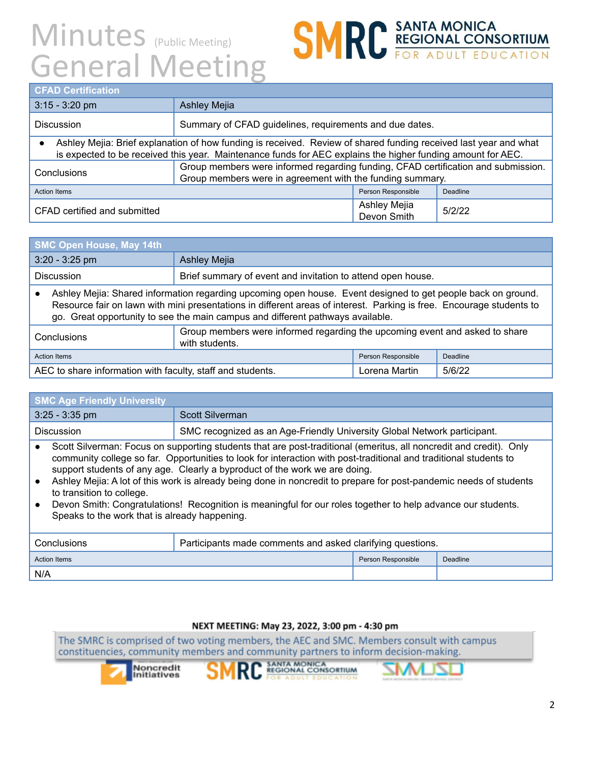

| <b>SMC Open House, May 14th</b>                                                                                                                                                                                                                                                                                        |                                                             |  |  |
|------------------------------------------------------------------------------------------------------------------------------------------------------------------------------------------------------------------------------------------------------------------------------------------------------------------------|-------------------------------------------------------------|--|--|
| $3:20 - 3:25$ pm                                                                                                                                                                                                                                                                                                       | <b>Ashley Mejia</b>                                         |  |  |
| <b>Discussion</b>                                                                                                                                                                                                                                                                                                      | Brief summary of event and invitation to attend open house. |  |  |
| Ashley Mejia: Shared information regarding upcoming open house. Event designed to get people back on ground.<br>Resource fair on lawn with mini presentations in different areas of interest. Parking is free. Encourage students to<br>go. Great opportunity to see the main campus and different pathways available. |                                                             |  |  |
| Group members were informed regarding the upcoming event and asked to share<br>Conclusions<br>with students.                                                                                                                                                                                                           |                                                             |  |  |
| <b>Action Items</b><br>Person Responsible<br>Deadline                                                                                                                                                                                                                                                                  |                                                             |  |  |
| AEC to share information with faculty, staff and students.<br>5/6/22<br>Lorena Martin                                                                                                                                                                                                                                  |                                                             |  |  |

| <b>SMC Age Friendly University</b>                                                                                                                                                                                                                                                                                                                                                                                                                                                                                                                                                                                                        |                                                                          |  |  |
|-------------------------------------------------------------------------------------------------------------------------------------------------------------------------------------------------------------------------------------------------------------------------------------------------------------------------------------------------------------------------------------------------------------------------------------------------------------------------------------------------------------------------------------------------------------------------------------------------------------------------------------------|--------------------------------------------------------------------------|--|--|
| $3:25 - 3:35$ pm                                                                                                                                                                                                                                                                                                                                                                                                                                                                                                                                                                                                                          | Scott Silverman                                                          |  |  |
| <b>Discussion</b>                                                                                                                                                                                                                                                                                                                                                                                                                                                                                                                                                                                                                         | SMC recognized as an Age-Friendly University Global Network participant. |  |  |
| Scott Silverman: Focus on supporting students that are post-traditional (emeritus, all noncredit and credit). Only<br>community college so far. Opportunities to look for interaction with post-traditional and traditional students to<br>support students of any age. Clearly a byproduct of the work we are doing.<br>Ashley Mejia: A lot of this work is already being done in noncredit to prepare for post-pandemic needs of students<br>to transition to college.<br>Devon Smith: Congratulations! Recognition is meaningful for our roles together to help advance our students.<br>Speaks to the work that is already happening. |                                                                          |  |  |
| Conclusions                                                                                                                                                                                                                                                                                                                                                                                                                                                                                                                                                                                                                               | Participants made comments and asked clarifying questions.               |  |  |
| <b>Action Items</b>                                                                                                                                                                                                                                                                                                                                                                                                                                                                                                                                                                                                                       | Person Responsible<br>Deadline                                           |  |  |
| N/A                                                                                                                                                                                                                                                                                                                                                                                                                                                                                                                                                                                                                                       |                                                                          |  |  |

### NEXT MEETING: May 23, 2022, 3:00 pm - 4:30 pm

The SMRC is comprised of two voting members, the AEC and SMC. Members consult with campus constituencies, community members and community partners to inform decision-making.







**SMRC REGIONAL CONSORTIUM**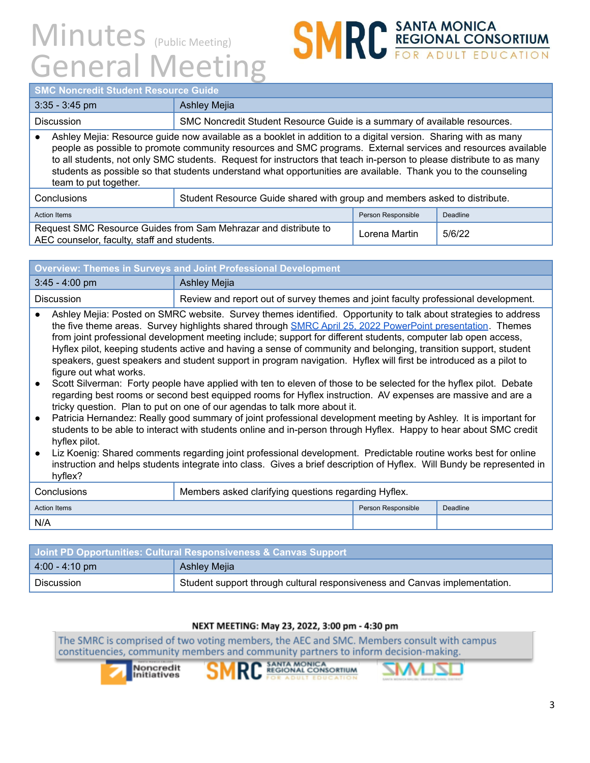

• Ashley Mejia: Resource guide now available as a booklet in addition to a digital version. Sharing with as many people as possible to promote community resources and SMC programs. External services and resources available to all students, not only SMC students. Request for instructors that teach in-person to please distribute to as many students as possible so that students understand what opportunities are available. Thank you to the counseling team to put together.

| Conclusions                                                                                                    | Student Resource Guide shared with group and members asked to distribute. |                    |          |
|----------------------------------------------------------------------------------------------------------------|---------------------------------------------------------------------------|--------------------|----------|
| Action Items                                                                                                   |                                                                           | Person Responsible | Deadline |
| Request SMC Resource Guides from Sam Mehrazar and distribute to<br>AEC counselor, faculty, staff and students. |                                                                           | Lorena Martin      | 5/6/22   |

| <b>Overview: Themes in Surveys and Joint Professional Development</b>                            |              |  |
|--------------------------------------------------------------------------------------------------|--------------|--|
| $3:45 - 4:00$ pm                                                                                 | Ashley Mejia |  |
| Review and report out of survey themes and joint faculty professional development.<br>Discussion |              |  |

- Ashley Mejia: Posted on SMRC website. Survey themes identified. Opportunity to talk about strategies to address the five theme areas. Survey highlights shared through **SMRC April 25, 2022 PowerPoint [presentation](https://drive.google.com/file/d/18DpYbVlSx2Tm330Dvwn30CgRIAKx6MHg/view?usp=sharing)**. Themes from joint professional development meeting include; support for different students, computer lab open access, Hyflex pilot, keeping students active and having a sense of community and belonging, transition support, student speakers, guest speakers and student support in program navigation. Hyflex will first be introduced as a pilot to figure out what works.
- Scott Silverman: Forty people have applied with ten to eleven of those to be selected for the hyflex pilot. Debate regarding best rooms or second best equipped rooms for Hyflex instruction. AV expenses are massive and are a tricky question. Plan to put on one of our agendas to talk more about it.
- Patricia Hernandez: Really good summary of joint professional development meeting by Ashley. It is important for students to be able to interact with students online and in-person through Hyflex. Happy to hear about SMC credit hyflex pilot.
- Liz Koenig: Shared comments regarding joint professional development. Predictable routine works best for online instruction and helps students integrate into class. Gives a brief description of Hyflex. Will Bundy be represented in hyflex?

| Conclusions  | Members asked clarifying questions regarding Hyflex. |                    |          |
|--------------|------------------------------------------------------|--------------------|----------|
| Action Items |                                                      | Person Responsible | Deadline |
| N/A          |                                                      |                    |          |

| <b>Joint PD Opportunities: Cultural Responsiveness &amp; Canvas Support</b> |                                                                            |  |  |
|-----------------------------------------------------------------------------|----------------------------------------------------------------------------|--|--|
| $ 4:00 - 4:10 \text{ pm} $                                                  | Ashley Mejia                                                               |  |  |
| Discussion                                                                  | Student support through cultural responsiveness and Canvas implementation. |  |  |

### NEXT MEETING: May 23, 2022, 3:00 pm - 4:30 pm

The SMRC is comprised of two voting members, the AEC and SMC. Members consult with campus constituencies, community members and community partners to inform decision-making.